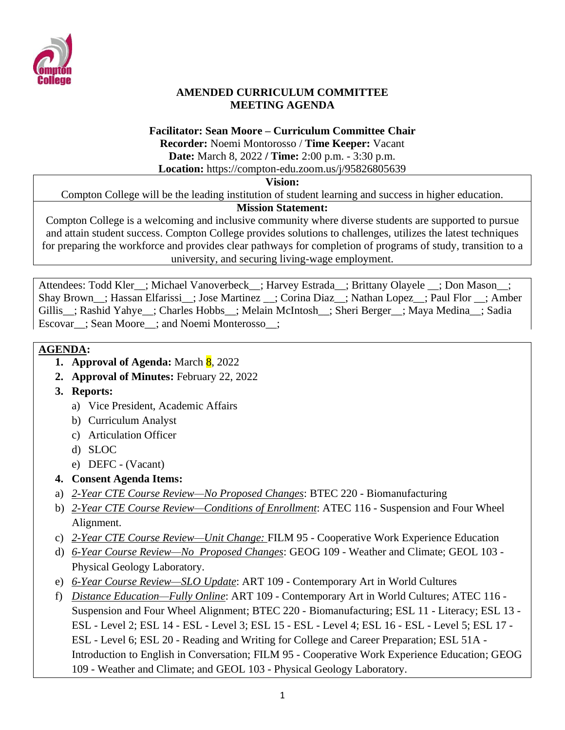

#### **AMENDED CURRICULUM COMMITTEE MEETING AGENDA**

#### **Facilitator: Sean Moore – Curriculum Committee Chair**

**Recorder:** Noemi Montorosso / **Time Keeper:** Vacant **Date:** March 8, 2022 **/ Time:** 2:00 p.m. - 3:30 p.m.

**Location:** https://compton-edu.zoom.us/j/95826805639

#### **Vision:**

Compton College will be the leading institution of student learning and success in higher education.

#### **Mission Statement:**

Compton College is a welcoming and inclusive community where diverse students are supported to pursue and attain student success. Compton College provides solutions to challenges, utilizes the latest techniques for preparing the workforce and provides clear pathways for completion of programs of study, transition to a university, and securing living-wage employment.

Attendees: Todd Kler ; Michael Vanoverbeck ; Harvey Estrada ; Brittany Olayele ; Don Mason ; Shay Brown\_\_; Hassan Elfarissi\_\_; Jose Martinez \_\_; Corina Diaz\_\_; Nathan Lopez\_\_; Paul Flor \_\_; Amber Gillis : Rashid Yahye : Charles Hobbs : Melain McIntosh : Sheri Berger : Maya Medina : Sadia Escovar\_\_; Sean Moore\_\_; and Noemi Monterosso\_\_;

# **AGENDA:**

- **1. Approval of Agenda:** March 8, 2022
- **2. Approval of Minutes:** February 22, 2022
- **3. Reports:** 
	- a) Vice President, Academic Affairs
	- b) Curriculum Analyst
	- c) Articulation Officer
	- d) SLOC
	- e) DEFC (Vacant)
- **4. Consent Agenda Items:**
- a) *2-Year CTE Course Review—No Proposed Changes*: BTEC 220 Biomanufacturing
- b) *2-Year CTE Course Review—Conditions of Enrollment*: ATEC 116 Suspension and Four Wheel Alignment.
- c) *2-Year CTE Course Review—Unit Change:* FILM 95 Cooperative Work Experience Education
- d) *6-Year Course Review—No Proposed Changes*: GEOG 109 Weather and Climate; GEOL 103 Physical Geology Laboratory.
- e) *6-Year Course Review—SLO Update*: ART 109 Contemporary Art in World Cultures
- f) *Distance Education—Fully Online*: ART 109 Contemporary Art in World Cultures; ATEC 116 Suspension and Four Wheel Alignment; BTEC 220 - Biomanufacturing; ESL 11 - Literacy; ESL 13 - ESL - Level 2; ESL 14 - ESL - Level 3; ESL 15 - ESL - Level 4; ESL 16 - ESL - Level 5; ESL 17 - ESL - Level 6; ESL 20 - Reading and Writing for College and Career Preparation; ESL 51A - Introduction to English in Conversation; FILM 95 - Cooperative Work Experience Education; GEOG 109 - Weather and Climate; and GEOL 103 - Physical Geology Laboratory.